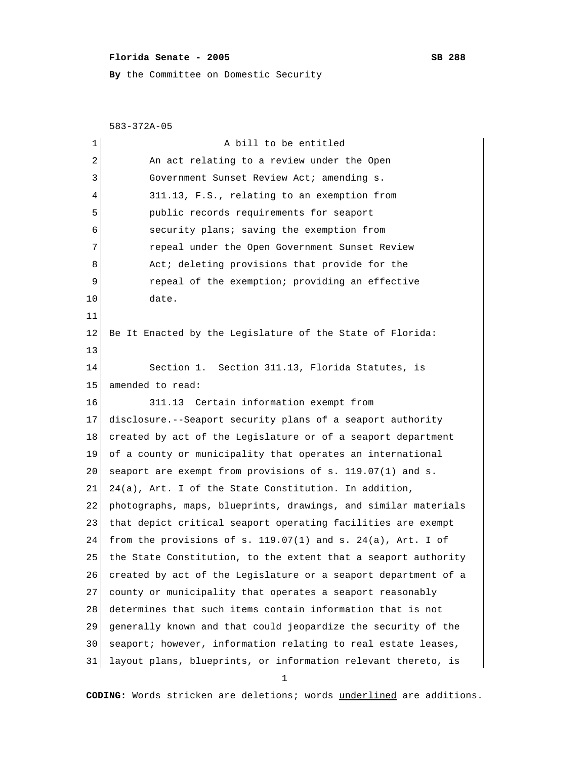## **Florida Senate - 2005** SB 288

**By** the Committee on Domestic Security

583-372A-05

| 1  | A bill to be entitled                                          |
|----|----------------------------------------------------------------|
| 2  | An act relating to a review under the Open                     |
| 3  | Government Sunset Review Act; amending s.                      |
| 4  | 311.13, F.S., relating to an exemption from                    |
| 5  | public records requirements for seaport                        |
| 6  | security plans; saving the exemption from                      |
| 7  | repeal under the Open Government Sunset Review                 |
| 8  | Act; deleting provisions that provide for the                  |
| 9  | repeal of the exemption; providing an effective                |
| 10 | date.                                                          |
| 11 |                                                                |
| 12 | Be It Enacted by the Legislature of the State of Florida:      |
| 13 |                                                                |
| 14 | Section 1. Section 311.13, Florida Statutes, is                |
| 15 | amended to read:                                               |
| 16 | 311.13 Certain information exempt from                         |
| 17 | disclosure.--Seaport security plans of a seaport authority     |
| 18 | created by act of the Legislature or of a seaport department   |
| 19 | of a county or municipality that operates an international     |
| 20 | seaport are exempt from provisions of s. 119.07(1) and s.      |
| 21 | 24(a), Art. I of the State Constitution. In addition,          |
| 22 | photographs, maps, blueprints, drawings, and similar materials |
| 23 | that depict critical seaport operating facilities are exempt   |
| 24 | from the provisions of s. 119.07(1) and s. 24(a), Art. I of    |
| 25 | the State Constitution, to the extent that a seaport authority |
| 26 | created by act of the Legislature or a seaport department of a |
| 27 | county or municipality that operates a seaport reasonably      |
| 28 | determines that such items contain information that is not     |
| 29 | generally known and that could jeopardize the security of the  |
| 30 | seaport; however, information relating to real estate leases,  |
| 31 | layout plans, blueprints, or information relevant thereto, is  |

1

**CODING:** Words stricken are deletions; words underlined are additions.